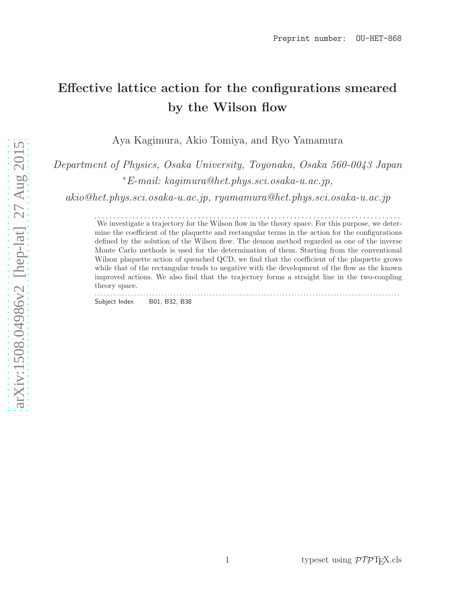# Effective lattice action for the configurations smeared by the Wilson flow

Aya Kagimura, Akio Tomiya, and Ryo Yamamura

*Department of Physics, Osaka University, Toyonaka, Osaka 560-0043 Japan* <sup>∗</sup>*E-mail: kagimura@het.phys.sci.osaka-u.ac.jp,*

*akio@het.phys.sci.osaka-u.ac.jp, ryamamura@het.phys.sci.osaka-u.ac.jp*

. . . . . . . . . . . . . . . . . . . . . . . . . . . . . . . . . . . . . . . . . . . . . . . . . . . . . . . . . . . . . . . . . . . . . . . . . . . . . . . . We investigate a trajectory for the Wilson flow in the theory space. For this purpose, we determine the coefficient of the plaquette and rectangular terms in the action for the configurations defined by the solution of the Wilson flow. The demon method regarded as one of the inverse Monte Carlo methods is used for the determination of them. Starting from the conventional Wilson plaquette action of quenched QCD, we find that the coefficient of the plaquette grows while that of the rectangular tends to negative with the development of the flow as the known improved actions. We also find that the trajectory forms a straight line in the two-coupling theory space.

Subject Index B01, B32, B38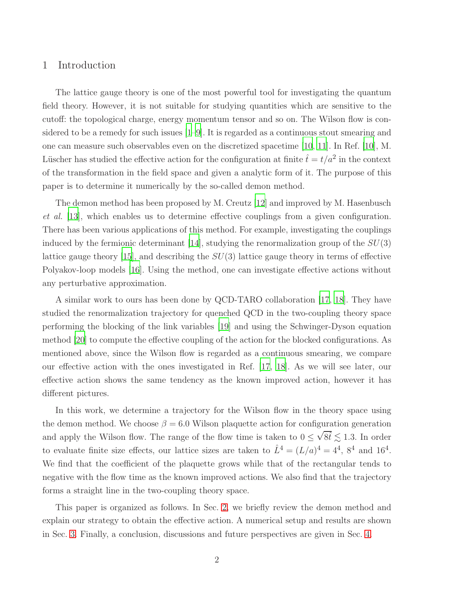# <span id="page-1-0"></span>1 Introduction

The lattice gauge theory is one of the most powerful tool for investigating the quantum field theory. However, it is not suitable for studying quantities which are sensitive to the cutoff: the topological charge, energy momentum tensor and so on. The Wilson flow is considered to be a remedy for such issues [\[1](#page-10-0)[–9\]](#page-11-0). It is regarded as a continuous stout smearing and one can measure such observables even on the discretized spacetime [\[10,](#page-11-1) [11](#page-11-2)]. In Ref. [\[10\]](#page-11-1), M. Lüscher has studied the effective action for the configuration at finite  $\hat{t} = t/a^2$  in the context of the transformation in the field space and given a analytic form of it. The purpose of this paper is to determine it numerically by the so-called demon method.

The demon method has been proposed by M. Creutz [\[12\]](#page-11-3) and improved by M. Hasenbusch *et al.* [\[13\]](#page-11-4), which enables us to determine effective couplings from a given configuration. There has been various applications of this method. For example, investigating the couplings induced by the fermionic determinant [\[14\]](#page-11-5), studying the renormalization group of the  $SU(3)$ lattice gauge theory [\[15\]](#page-11-6), and describing the  $SU(3)$  lattice gauge theory in terms of effective Polyakov-loop models [\[16](#page-11-7)]. Using the method, one can investigate effective actions without any perturbative approximation.

A similar work to ours has been done by QCD-TARO collaboration [\[17](#page-11-8), [18\]](#page-11-9). They have studied the renormalization trajectory for quenched QCD in the two-coupling theory space performing the blocking of the link variables [\[19](#page-11-10)] and using the Schwinger-Dyson equation method [\[20\]](#page-11-11) to compute the effective coupling of the action for the blocked configurations. As mentioned above, since the Wilson flow is regarded as a continuous smearing, we compare our effective action with the ones investigated in Ref. [\[17,](#page-11-8) [18](#page-11-9)]. As we will see later, our effective action shows the same tendency as the known improved action, however it has different pictures.

In this work, we determine a trajectory for the Wilson flow in the theory space using the demon method. We choose  $\beta = 6.0$  Wilson plaquette action for configuration generation and apply the Wilson flow. The range of the flow time is taken to  $0 \leq \sqrt{8t} \lesssim 1.3$ . In order to evaluate finite size effects, our lattice sizes are taken to  $\hat{L}^4 = (L/a)^4 = 4^4$ ,  $8^4$  and  $16^4$ . We find that the coefficient of the plaquette grows while that of the rectangular tends to negative with the flow time as the known improved actions. We also find that the trajectory forms a straight line in the two-coupling theory space.

This paper is organized as follows. In Sec. [2,](#page-2-0) we briefly review the demon method and explain our strategy to obtain the effective action. A numerical setup and results are shown in Sec. [3.](#page-5-0) Finally, a conclusion, discussions and future perspectives are given in Sec. [4.](#page-7-0)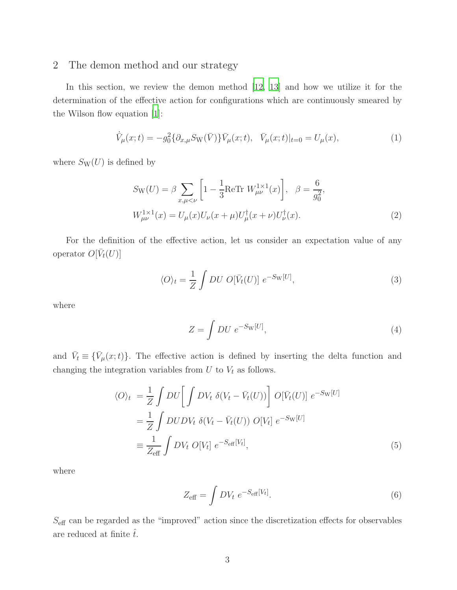# <span id="page-2-0"></span>2 The demon method and our strategy

In this section, we review the demon method [\[12,](#page-11-3) [13](#page-11-4)] and how we utilize it for the determination of the effective action for configurations which are continuously smeared by the Wilson flow equation [\[1\]](#page-10-0):

$$
\dot{\bar{V}}_{\mu}(x;t) = -g_0^2 \{\partial_{x,\mu} S_{\mathcal{W}}(\bar{V})\} \bar{V}_{\mu}(x;t), \quad \bar{V}_{\mu}(x;t)|_{t=0} = U_{\mu}(x), \tag{1}
$$

where  $S_{\rm W}(U)$  is defined by

<span id="page-2-2"></span>
$$
S_{\rm W}(U) = \beta \sum_{x,\mu < \nu} \left[ 1 - \frac{1}{3} \text{ReTr} \ W_{\mu\nu}^{1 \times 1}(x) \right], \quad \beta = \frac{6}{g_0^2},
$$
\n
$$
W_{\mu\nu}^{1 \times 1}(x) = U_{\mu}(x) U_{\nu}(x + \mu) U_{\mu}^{\dagger}(x + \nu) U_{\nu}^{\dagger}(x). \tag{2}
$$

For the definition of the effective action, let us consider an expectation value of any operator  $O[\bar{V}_t(U)]$ 

$$
\langle O \rangle_t = \frac{1}{Z} \int DU \ O[\bar{V}_t(U)] \ e^{-S_{\rm W}[U]}, \tag{3}
$$

where

<span id="page-2-3"></span>
$$
Z = \int DU \ e^{-S_{\rm W}[U]}, \tag{4}
$$

and  $\bar{V}_t \equiv {\bar{V}_\mu(x;t)}$ . The effective action is defined by inserting the delta function and changing the integration variables from  $U$  to  $V_t$  as follows.

$$
\langle O \rangle_t = \frac{1}{Z} \int DU \left[ \int DV_t \delta(V_t - \bar{V}_t(U)) \right] O[\bar{V}_t(U)] e^{-S_{\rm W}[U]}
$$
  

$$
= \frac{1}{Z} \int DUDV_t \delta(V_t - \bar{V}_t(U)) O[V_t] e^{-S_{\rm W}[U]}
$$
  

$$
\equiv \frac{1}{Z_{\rm eff}} \int DV_t O[V_t] e^{-S_{\rm eff}[V_t]}, \tag{5}
$$

where

<span id="page-2-1"></span>
$$
Z_{\text{eff}} = \int DV_t \ e^{-S_{\text{eff}}[V_t]}.
$$
\n(6)

 $S_{\rm eff}$  can be regarded as the "improved" action since the discretization effects for observables are reduced at finite  $\hat{t}$ .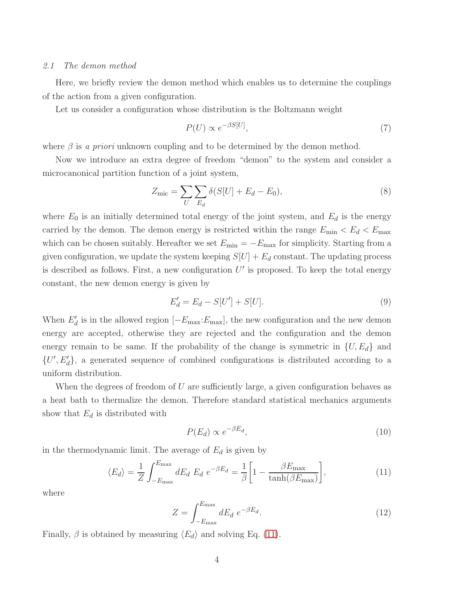## <span id="page-3-1"></span>*2.1 The demon method*

Here, we briefly review the demon method which enables us to determine the couplings of the action from a given configuration.

Let us consider a configuration whose distribution is the Boltzmann weight

$$
P(U) \propto e^{-\beta S[U]},\tag{7}
$$

where  $\beta$  is *a priori* unknown coupling and to be determined by the demon method.

Now we introduce an extra degree of freedom "demon" to the system and consider a microcanonical partition function of a joint system,

$$
Z_{\rm mic} = \sum_{U} \sum_{E_d} \delta(S[U] + E_d - E_0), \tag{8}
$$

where  $E_0$  is an initially determined total energy of the joint system, and  $E_d$  is the energy carried by the demon. The demon energy is restricted within the range  $E_{\text{min}} < E_d < E_{\text{max}}$ which can be chosen suitably. Hereafter we set  $E_{\text{min}} = -E_{\text{max}}$  for simplicity. Starting from a given configuration, we update the system keeping  $S[U] + E_d$  constant. The updating process is described as follows. First, a new configuration  $U'$  is proposed. To keep the total energy constant, the new demon energy is given by

$$
E'_d = E_d - S[U'] + S[U].
$$
\n(9)

When  $E'_d$  is in the allowed region  $[-E_{\text{max}}:E_{\text{max}}]$ , the new configuration and the new demon energy are accepted, otherwise they are rejected and the configuration and the demon energy remain to be same. If the probability of the change is symmetric in  $\{U, E_d\}$  and  $\{U', E'_d\}$ , a generated sequence of combined configurations is distributed according to a uniform distribution.

When the degrees of freedom of  $U$  are sufficiently large, a given configuration behaves as a heat bath to thermalize the demon. Therefore standard statistical mechanics arguments show that  $E_d$  is distributed with

<span id="page-3-0"></span>
$$
P(E_d) \propto e^{-\beta E_d},\tag{10}
$$

in the thermodynamic limit. The average of  $E_d$  is given by

$$
\langle E_d \rangle = \frac{1}{Z} \int_{-E_{\text{max}}}^{E_{\text{max}}} dE_d \ E_d e^{-\beta E_d} = \frac{1}{\beta} \left[ 1 - \frac{\beta E_{\text{max}}}{\tanh(\beta E_{\text{max}})} \right],\tag{11}
$$

where

$$
Z = \int_{-E_{\text{max}}}^{E_{\text{max}}} dE_d e^{-\beta E_d}.
$$
 (12)

Finally,  $\beta$  is obtained by measuring  $\langle E_d \rangle$  and solving Eq. [\(11\)](#page-3-0).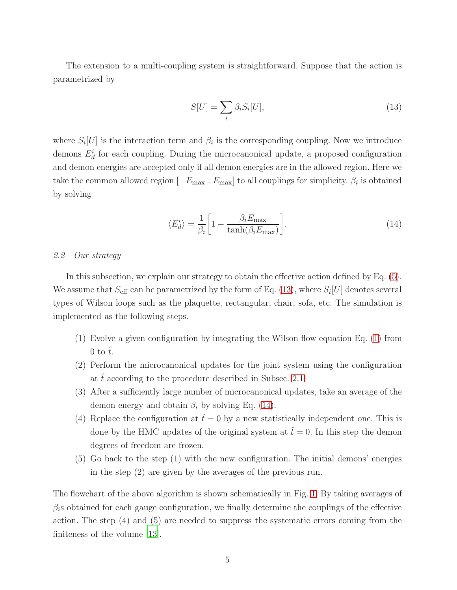The extension to a multi-coupling system is straightforward. Suppose that the action is parametrized by

<span id="page-4-0"></span>
$$
S[U] = \sum_{i} \beta_i S_i[U],\tag{13}
$$

where  $S_i[U]$  is the interaction term and  $\beta_i$  is the corresponding coupling. Now we introduce demons  $E_d^i$  for each coupling. During the microcanonical update, a proposed configuration and demon energies are accepted only if all demon energies are in the allowed region. Here we take the common allowed region  $[-E_{\text{max}} : E_{\text{max}}]$  to all couplings for simplicity.  $\beta_i$  is obtained by solving

<span id="page-4-1"></span>
$$
\langle E_d^i \rangle = \frac{1}{\beta_i} \left[ 1 - \frac{\beta_i E_{\text{max}}}{\tanh(\beta_i E_{\text{max}})} \right]. \tag{14}
$$

## <span id="page-4-2"></span>*2.2 Our strategy*

In this subsection, we explain our strategy to obtain the effective action defined by Eq. [\(5\)](#page-2-1). We assume that  $S_{\text{eff}}$  can be parametrized by the form of Eq. [\(13\)](#page-4-0), where  $S_i[U]$  denotes several types of Wilson loops such as the plaquette, rectangular, chair, sofa, etc. The simulation is implemented as the following steps.

- (1) Evolve a given configuration by integrating the Wilson flow equation Eq. [\(1\)](#page-2-2) from 0 to  $\hat{t}$ .
- (2) Perform the microcanonical updates for the joint system using the configuration at t according to the procedure described in Subsec.  $2.1$ .
- (3) After a sufficiently large number of microcanonical updates, take an average of the demon energy and obtain  $\beta_i$  by solving Eq. [\(14\)](#page-4-1).
- (4) Replace the configuration at  $\hat{t}=0$  by a new statistically independent one. This is done by the HMC updates of the original system at  $\hat{t}=0$ . In this step the demon degrees of freedom are frozen.
- (5) Go back to the step (1) with the new configuration. The initial demons' energies in the step (2) are given by the averages of the previous run.

The flowchart of the above algorithm is shown schematically in Fig. [1.](#page-5-1) By taking averages of  $\beta_i$ s obtained for each gauge configuration, we finally determine the couplings of the effective action. The step (4) and (5) are needed to suppress the systematic errors coming from the finiteness of the volume [\[13\]](#page-11-4).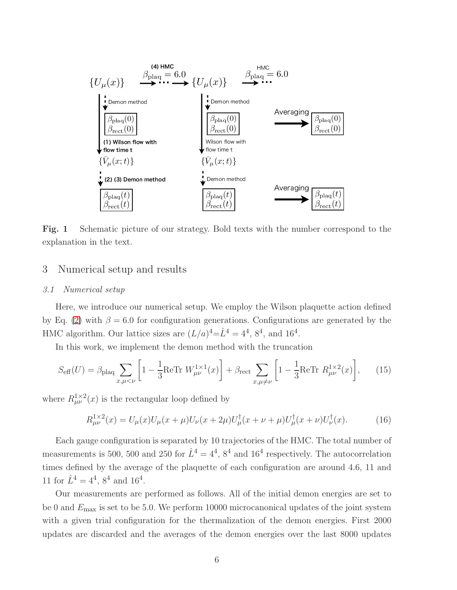

<span id="page-5-1"></span>Fig. 1 Schematic picture of our strategy. Bold texts with the number correspond to the explanation in the text.

# <span id="page-5-0"></span>3 Numerical setup and results

## *3.1 Numerical setup*

Here, we introduce our numerical setup. We employ the Wilson plaquette action defined by Eq. [\(2\)](#page-2-3) with  $\beta = 6.0$  for configuration generations. Configurations are generated by the HMC algorithm. Our lattice sizes are  $(L/a)^4 = \hat{L}^4 = 4^4$ ,  $8^4$ , and  $16^4$ .

In this work, we implement the demon method with the truncation

$$
S_{\text{eff}}(U) = \beta_{\text{plaq}} \sum_{x,\mu < \nu} \left[ 1 - \frac{1}{3} \text{ReTr} \ W_{\mu\nu}^{1 \times 1}(x) \right] + \beta_{\text{rect}} \sum_{x,\mu \neq \nu} \left[ 1 - \frac{1}{3} \text{ReTr} \ R_{\mu\nu}^{1 \times 2}(x) \right],\tag{15}
$$

where  $R_{\mu\nu}^{1\times 2}(x)$  is the rectangular loop defined by

$$
R_{\mu\nu}^{1 \times 2}(x) = U_{\mu}(x)U_{\mu}(x+\mu)U_{\nu}(x+2\mu)U_{\mu}^{\dagger}(x+\nu+\mu)U_{\mu}^{\dagger}(x+\nu)U_{\nu}^{\dagger}(x). \tag{16}
$$

Each gauge configuration is separated by 10 trajectories of the HMC. The total number of measurements is 500, 500 and 250 for  $\hat{L}^4 = 4^4$ ,  $8^4$  and 16<sup>4</sup> respectively. The autocorrelation times defined by the average of the plaquette of each configuration are around 4.6, 11 and 11 for  $\hat{L}^4 = 4^4$ ,  $8^4$  and  $16^4$ .

Our measurements are performed as follows. All of the initial demon energies are set to be 0 and  $E_{\text{max}}$  is set to be 5.0. We perform 10000 microcanonical updates of the joint system with a given trial configuration for the thermalization of the demon energies. First 2000 updates are discarded and the averages of the demon energies over the last 8000 updates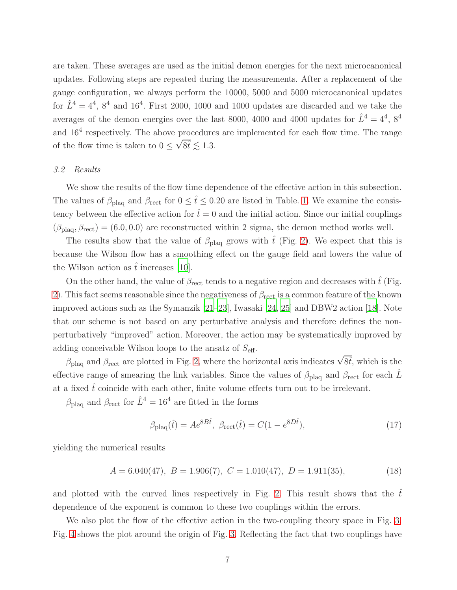are taken. These averages are used as the initial demon energies for the next microcanonical updates. Following steps are repeated during the measurements. After a replacement of the gauge configuration, we always perform the 10000, 5000 and 5000 microcanonical updates for  $\hat{L}^4 = 4^4$ ,  $8^4$  and  $16^4$ . First 2000, 1000 and 1000 updates are discarded and we take the averages of the demon energies over the last 8000, 4000 and 4000 updates for  $\hat{L}^4 = 4^4$ ,  $8^4$ and  $16<sup>4</sup>$  respectively. The above procedures are implemented for each flow time. The range of the flow time is taken to  $0 \leq \sqrt{8t} \lesssim 1.3$ .

#### <span id="page-6-0"></span>*3.2 Results*

We show the results of the flow time dependence of the effective action in this subsection. The values of  $\beta_{\text{plaq}}$  and  $\beta_{\text{rect}}$  for  $0 \leq \hat{t} \leq 0.20$  are listed in Table. [1.](#page-7-1) We examine the consistency between the effective action for  $\hat{t}=0$  and the initial action. Since our initial couplings  $(\beta_{\text{plaa}}, \beta_{\text{rect}}) = (6.0, 0.0)$  are reconstructed within 2 sigma, the demon method works well.

The results show that the value of  $\beta_{\text{plaq}}$  grows with  $\hat{t}$  (Fig. [2\)](#page-8-0). We expect that this is because the Wilson flow has a smoothing effect on the gauge field and lowers the value of the Wilson action as  $\hat{t}$  increases [\[10\]](#page-11-1).

On the other hand, the value of  $\beta_{\text{rect}}$  tends to a negative region and decreases with  $\hat{t}$  (Fig. [2\)](#page-8-0). This fact seems reasonable since the negativeness of  $\beta_{\text{rect}}$  is a common feature of the known improved actions such as the Symanzik [\[21](#page-11-12)[–23](#page-11-13)], Iwasaki [\[24](#page-11-14), [25](#page-11-15)] and DBW2 action [\[18\]](#page-11-9). Note that our scheme is not based on any perturbative analysis and therefore defines the nonperturbatively "improved" action. Moreover, the action may be systematically improved by adding conceivable Wilson loops to the ansatz of  $S_{\text{eff}}$ .

 $\beta_{\text{plaq}}$  and  $\beta_{\text{rect}}$  are plotted in Fig. [2,](#page-8-0) where the horizontal axis indicates  $\sqrt{8t}$ , which is the effective range of smearing the link variables. Since the values of  $\beta_{\rm plaq}$  and  $\beta_{\rm rect}$  for each  $\hat{L}$ at a fixed  $\hat{t}$  coincide with each other, finite volume effects turn out to be irrelevant.

 $\beta_{\rm plaq}$  and  $\beta_{\rm rect}$  for  $\hat{L}^4=16^4$  are fitted in the forms

$$
\beta_{\text{plaq}}(\hat{t}) = A e^{8B\hat{t}}, \ \beta_{\text{rect}}(\hat{t}) = C(1 - e^{8D\hat{t}}), \tag{17}
$$

yielding the numerical results

$$
A = 6.040(47), B = 1.906(7), C = 1.010(47), D = 1.911(35),
$$
\n(18)

and plotted with the curved lines respectively in Fig. [2.](#page-8-0) This result shows that the  $t^2$ dependence of the exponent is common to these two couplings within the errors.

We also plot the flow of the effective action in the two-coupling theory space in Fig. [3.](#page-9-0) Fig. [4](#page-9-1) shows the plot around the origin of Fig. [3.](#page-9-0) Reflecting the fact that two couplings have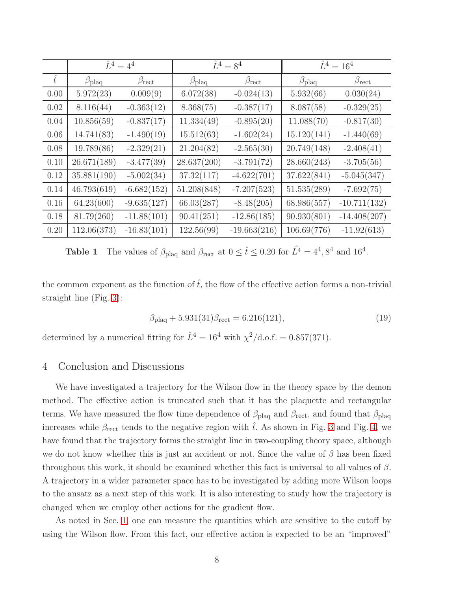|           | $\hat{L}^4 = 4^4$  |                    | $\hat{L}^4 = 8^4$  |                    | $\hat{L}^4 = 16^4$ |                    |
|-----------|--------------------|--------------------|--------------------|--------------------|--------------------|--------------------|
| $\hat{t}$ | $\beta_{\rm plaq}$ | $\beta_{\rm rect}$ | $\beta_{\rm plaq}$ | $\beta_{\rm rect}$ | $\beta_{\rm plaq}$ | $\beta_{\rm rect}$ |
| 0.00      | 5.972(23)          | 0.009(9)           | 6.072(38)          | $-0.024(13)$       | 5.932(66)          | 0.030(24)          |
| 0.02      | 8.116(44)          | $-0.363(12)$       | 8.368(75)          | $-0.387(17)$       | 8.087(58)          | $-0.329(25)$       |
| 0.04      | 10.856(59)         | $-0.837(17)$       | 11.334(49)         | $-0.895(20)$       | 11.088(70)         | $-0.817(30)$       |
| 0.06      | 14.741(83)         | $-1.490(19)$       | 15.512(63)         | $-1.602(24)$       | 15.120(141)        | $-1.440(69)$       |
| 0.08      | 19.789(86)         | $-2.329(21)$       | 21.204(82)         | $-2.565(30)$       | 20.749(148)        | $-2.408(41)$       |
| 0.10      | 26.671(189)        | $-3.477(39)$       | 28.637(200)        | $-3.791(72)$       | 28.660(243)        | $-3.705(56)$       |
| 0.12      | 35.881(190)        | $-5.002(34)$       | 37.32(117)         | $-4.622(701)$      | 37.622(841)        | $-5.045(347)$      |
| 0.14      | 46.793(619)        | $-6.682(152)$      | 51.208(848)        | $-7.207(523)$      | 51.535(289)        | $-7.692(75)$       |
| 0.16      | 64.23(600)         | $-9.635(127)$      | 66.03(287)         | $-8.48(205)$       | 68.986(557)        | $-10.711(132)$     |
| 0.18      | 81.79(260)         | $-11.88(101)$      | 90.41(251)         | $-12.86(185)$      | 90.930(801)        | $-14.408(207)$     |
| 0.20      | 112.06(373)        | $-16.83(101)$      | 122.56(99)         | $-19.663(216)$     | 106.69(776)        | $-11.92(613)$      |

<span id="page-7-1"></span>**Table 1** The values of  $\beta_{\text{plaq}}$  and  $\beta_{\text{rect}}$  at  $0 \leq \hat{t} \leq 0.20$  for  $\hat{L}^4 = 4^4, 8^4$  and  $16^4$ .

the common exponent as the function of  $\hat{t}$ , the flow of the effective action forms a non-trivial straight line (Fig. [3\)](#page-9-0):

$$
\beta_{\rm plaq} + 5.931(31)\beta_{\rm rect} = 6.216(121),\tag{19}
$$

<span id="page-7-0"></span>determined by a numerical fitting for  $\hat{L}^4 = 16^4$  with  $\chi^2/\text{d.o.f.} = 0.857(371)$ .

## 4 Conclusion and Discussions

We have investigated a trajectory for the Wilson flow in the theory space by the demon method. The effective action is truncated such that it has the plaquette and rectangular terms. We have measured the flow time dependence of  $\beta_{\text{plaq}}$  and  $\beta_{\text{rect}}$ , and found that  $\beta_{\text{plaq}}$ increases while  $\beta_{\text{rect}}$  tends to the negative region with t. As shown in Fig. [3](#page-9-0) and Fig. [4,](#page-9-1) we have found that the trajectory forms the straight line in two-coupling theory space, although we do not know whether this is just an accident or not. Since the value of  $\beta$  has been fixed throughout this work, it should be examined whether this fact is universal to all values of  $\beta$ . A trajectory in a wider parameter space has to be investigated by adding more Wilson loops to the ansatz as a next step of this work. It is also interesting to study how the trajectory is changed when we employ other actions for the gradient flow.

As noted in Sec. [1,](#page-1-0) one can measure the quantities which are sensitive to the cutoff by using the Wilson flow. From this fact, our effective action is expected to be an "improved"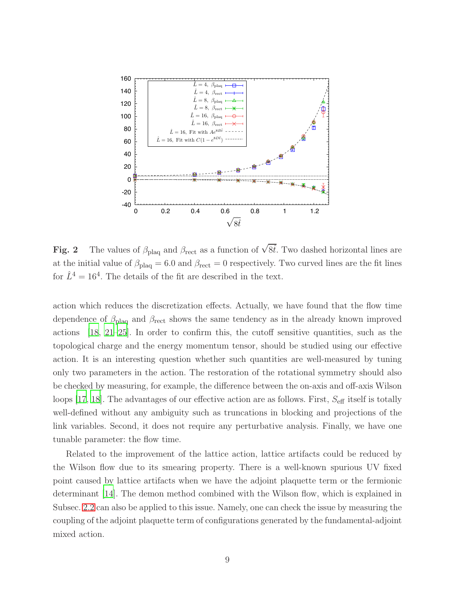

<span id="page-8-0"></span>Fig. 2 The values of  $\beta_{\text{plaq}}$  and  $\beta_{\text{rect}}$  as a function of  $\sqrt{8t}$ . Two dashed horizontal lines are at the initial value of  $\beta_{\text{plaq}} = 6.0$  and  $\beta_{\text{rect}} = 0$  respectively. Two curved lines are the fit lines for  $\hat{L}^4 = 16^4$ . The details of the fit are described in the text.

action which reduces the discretization effects. Actually, we have found that the flow time dependence of  $\beta_{\text{plaq}}$  and  $\beta_{\text{rect}}$  shows the same tendency as in the already known improved actions [\[18](#page-11-9), [21](#page-11-12)[–25\]](#page-11-15). In order to confirm this, the cutoff sensitive quantities, such as the topological charge and the energy momentum tensor, should be studied using our effective action. It is an interesting question whether such quantities are well-measured by tuning only two parameters in the action. The restoration of the rotational symmetry should also be checked by measuring, for example, the difference between the on-axis and off-axis Wilson loops [\[17,](#page-11-8) [18](#page-11-9)]. The advantages of our effective action are as follows. First,  $S_{\text{eff}}$  itself is totally well-defined without any ambiguity such as truncations in blocking and projections of the link variables. Second, it does not require any perturbative analysis. Finally, we have one tunable parameter: the flow time.

Related to the improvement of the lattice action, lattice artifacts could be reduced by the Wilson flow due to its smearing property. There is a well-known spurious UV fixed point caused by lattice artifacts when we have the adjoint plaquette term or the fermionic determinant [\[14\]](#page-11-5). The demon method combined with the Wilson flow, which is explained in Subsec. [2.2](#page-4-2) can also be applied to this issue. Namely, one can check the issue by measuring the coupling of the adjoint plaquette term of configurations generated by the fundamental-adjoint mixed action.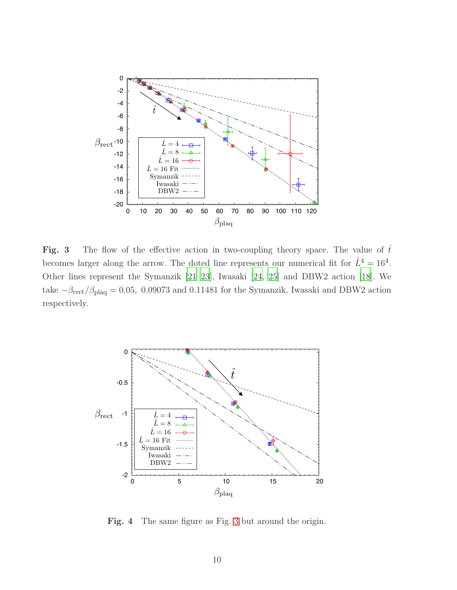

<span id="page-9-0"></span>Fig. 3 The flow of the effective action in two-coupling theory space. The value of  $\hat{t}$ becomes larger along the arrow. The doted line represents our numerical fit for  $\hat{L}^4 = 16^4$ . Other lines represent the Symanzik [\[21](#page-11-12)[–23](#page-11-13)], Iwasaki [\[24](#page-11-14), [25\]](#page-11-15) and DBW2 action [\[18](#page-11-9)]. We take  $-\beta_{\text{rect}}/\beta_{\text{plaq}} = 0.05, 0.09073$  and 0.11481 for the Symanzik, Iwasaki and DBW2 action respectively.



<span id="page-9-1"></span>Fig. 4 The same figure as Fig. [3](#page-9-0) but around the origin.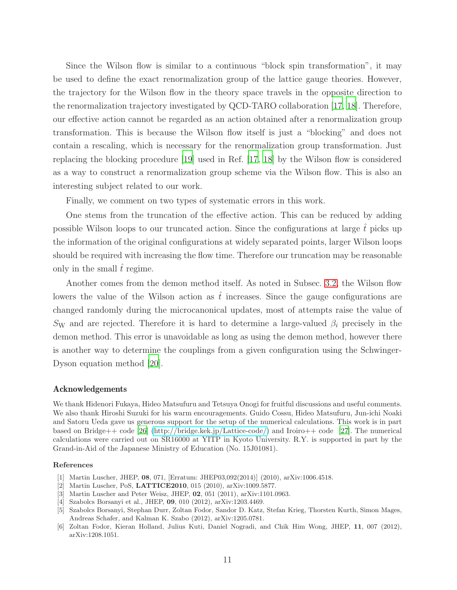Since the Wilson flow is similar to a continuous "block spin transformation", it may be used to define the exact renormalization group of the lattice gauge theories. However, the trajectory for the Wilson flow in the theory space travels in the opposite direction to the renormalization trajectory investigated by QCD-TARO collaboration [\[17,](#page-11-8) [18\]](#page-11-9). Therefore, our effective action cannot be regarded as an action obtained after a renormalization group transformation. This is because the Wilson flow itself is just a "blocking" and does not contain a rescaling, which is necessary for the renormalization group transformation. Just replacing the blocking procedure [\[19\]](#page-11-10) used in Ref. [\[17,](#page-11-8) [18\]](#page-11-9) by the Wilson flow is considered as a way to construct a renormalization group scheme via the Wilson flow. This is also an interesting subject related to our work.

Finally, we comment on two types of systematic errors in this work.

One stems from the truncation of the effective action. This can be reduced by adding possible Wilson loops to our truncated action. Since the configurations at large  $\hat{t}$  picks up the information of the original configurations at widely separated points, larger Wilson loops should be required with increasing the flow time. Therefore our truncation may be reasonable only in the small  $\hat{t}$  regime.

Another comes from the demon method itself. As noted in Subsec. [3.2,](#page-6-0) the Wilson flow lowers the value of the Wilson action as  $\hat{t}$  increases. Since the gauge configurations are changed randomly during the microcanonical updates, most of attempts raise the value of Sw and are rejected. Therefore it is hard to determine a large-valued  $\beta_i$  precisely in the demon method. This error is unavoidable as long as using the demon method, however there is another way to determine the couplings from a given configuration using the Schwinger-Dyson equation method [\[20](#page-11-11)].

#### Acknowledgements

We thank Hidenori Fukaya, Hideo Matsufuru and Tetsuya Onogi for fruitful discussions and useful comments. We also thank Hiroshi Suzuki for his warm encouragements. Guido Cossu, Hideo Matsufuru, Jun-ichi Noaki and Satoru Ueda gave us generous support for the setup of the numerical calculations. This work is in part based on Bridge++ code [\[26](#page-11-16)] [\(http://bridge.kek.jp/Lattice-code/\)](http://bridge.kek.jp/Lattice-code/) and Iroiro++ code [\[27\]](#page-11-17). The numerical calculations were carried out on SR16000 at YITP in Kyoto University. R.Y. is supported in part by the Grand-in-Aid of the Japanese Ministry of Education (No. 15J01081).

#### References

- <span id="page-10-0"></span>[1] Martin Luscher, JHEP, 08, 071, [Erratum: JHEP03,092(2014)] (2010), arXiv:1006.4518.
- [2] Martin Luscher, PoS, LATTICE2010, 015 (2010), arXiv:1009.5877.
- [3] Martin Luscher and Peter Weisz, JHEP, 02, 051 (2011), arXiv:1101.0963.
- [4] Szabolcs Borsanyi et al., JHEP, 09, 010 (2012), arXiv:1203.4469.
- [5] Szabolcs Borsanyi, Stephan Durr, Zoltan Fodor, Sandor D. Katz, Stefan Krieg, Thorsten Kurth, Simon Mages, Andreas Schafer, and Kalman K. Szabo (2012), arXiv:1205.0781.
- [6] Zoltan Fodor, Kieran Holland, Julius Kuti, Daniel Nogradi, and Chik Him Wong, JHEP, 11, 007 (2012), arXiv:1208.1051.